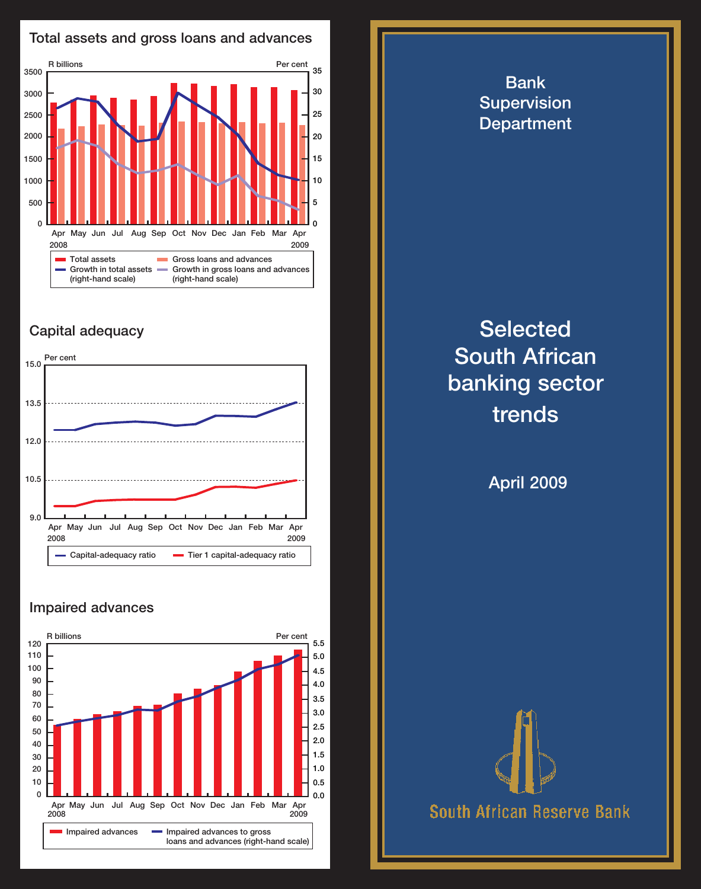

## Capital adequacy



## Impaired advances



Bank **Supervision Department Selected** South African banking sector trends April 2009